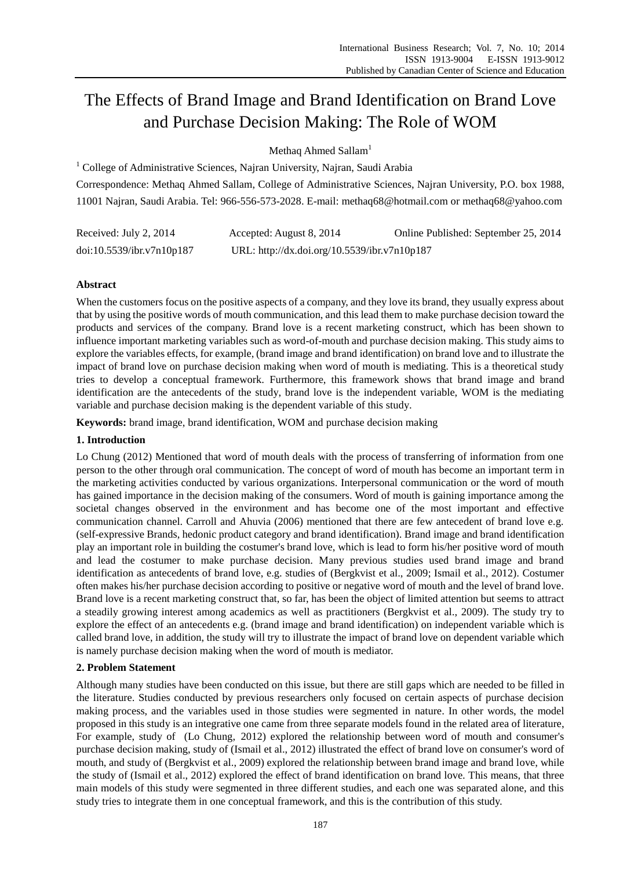# The Effects of Brand Image and Brand Identification on Brand Love and Purchase Decision Making: The Role of WOM

Methaq Ahmed Sallam<sup>1</sup>

<sup>1</sup> College of Administrative Sciences, Najran University, Najran, Saudi Arabia Correspondence: Methaq Ahmed Sallam, College of Administrative Sciences, Najran University, P.O. box 1988, 11001 Najran, Saudi Arabia. Tel: 966-556-573-2028. E-mail: methaq68@hotmail.com or methaq68@yahoo.com

| Received: July 2, 2014    | Accepted: August 8, 2014                     | Online Published: September 25, 2014 |
|---------------------------|----------------------------------------------|--------------------------------------|
| doi:10.5539/ibr.v7n10p187 | URL: http://dx.doi.org/10.5539/ibr.v7n10p187 |                                      |

# **Abstract**

When the customers focus on the positive aspects of a company, and they love its brand, they usually express about that by using the positive words of mouth communication, and this lead them to make purchase decision toward the products and services of the company. Brand love is a recent marketing construct, which has been shown to influence important marketing variables such as word-of-mouth and purchase decision making. This study aims to explore the variables effects, for example, (brand image and brand identification) on brand love and to illustrate the impact of brand love on purchase decision making when word of mouth is mediating. This is a theoretical study tries to develop a conceptual framework. Furthermore, this framework shows that brand image and brand identification are the antecedents of the study, brand love is the independent variable, WOM is the mediating variable and purchase decision making is the dependent variable of this study.

**Keywords:** brand image, brand identification, WOM and purchase decision making

# **1. Introduction**

Lo Chung (2012) Mentioned that word of mouth deals with the process of transferring of information from one person to the other through oral communication. The concept of word of mouth has become an important term in the marketing activities conducted by various organizations. Interpersonal communication or the word of mouth has gained importance in the decision making of the consumers. Word of mouth is gaining importance among the societal changes observed in the environment and has become one of the most important and effective communication channel. Carroll and Ahuvia (2006) mentioned that there are few antecedent of brand love e.g. (self-expressive Brands, hedonic product category and brand identification). Brand image and brand identification play an important role in building the costumer's brand love, which is lead to form his/her positive word of mouth and lead the costumer to make purchase decision. Many previous studies used brand image and brand identification as antecedents of brand love, e.g. studies of (Bergkvist et al., 2009; Ismail et al., 2012). Costumer often makes his/her purchase decision according to positive or negative word of mouth and the level of brand love. Brand love is a recent marketing construct that, so far, has been the object of limited attention but seems to attract a steadily growing interest among academics as well as practitioners (Bergkvist et al., 2009). The study try to explore the effect of an antecedents e.g. (brand image and brand identification) on independent variable which is called brand love, in addition, the study will try to illustrate the impact of brand love on dependent variable which is namely purchase decision making when the word of mouth is mediator.

# **2. Problem Statement**

Although many studies have been conducted on this issue, but there are still gaps which are needed to be filled in the literature. Studies conducted by previous researchers only focused on certain aspects of purchase decision making process, and the variables used in those studies were segmented in nature. In other words, the model proposed in this study is an integrative one came from three separate models found in the related area of literature, For example, study of (Lo Chung, 2012) explored the relationship between word of mouth and consumer's purchase decision making, study of (Ismail et al., 2012) illustrated the effect of brand love on consumer's word of mouth, and study of (Bergkvist et al., 2009) explored the relationship between brand image and brand love, while the study of (Ismail et al., 2012) explored the effect of brand identification on brand love. This means, that three main models of this study were segmented in three different studies, and each one was separated alone, and this study tries to integrate them in one conceptual framework, and this is the contribution of this study.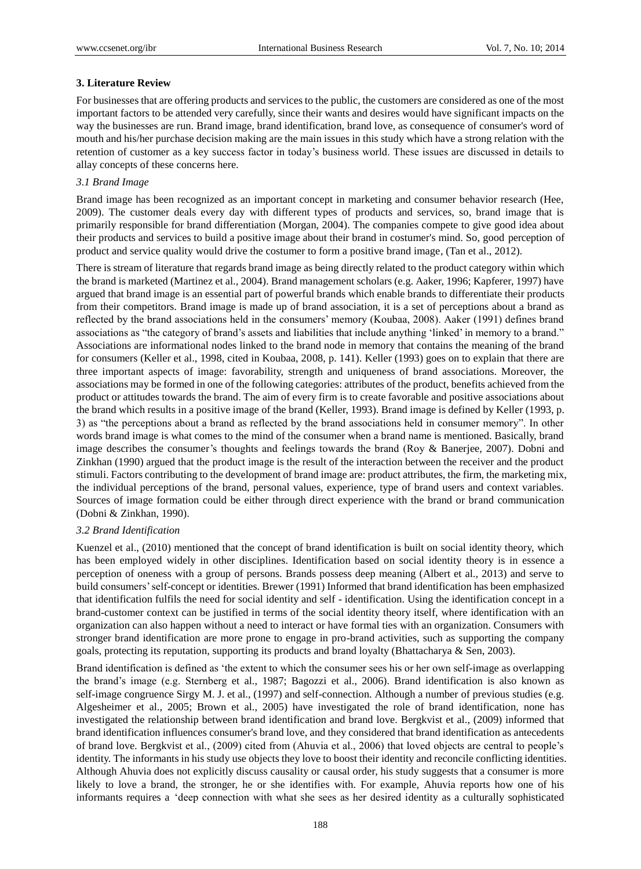### **3. Literature Review**

For businesses that are offering products and services to the public, the customers are considered as one of the most important factors to be attended very carefully, since their wants and desires would have significant impacts on the way the businesses are run. Brand image, brand identification, brand love, as consequence of consumer's word of mouth and his/her purchase decision making are the main issues in this study which have a strong relation with the retention of customer as a key success factor in today"s business world. These issues are discussed in details to allay concepts of these concerns here.

#### *3.1 Brand Image*

Brand image has been recognized as an important concept in marketing and consumer behavior research (Hee, 2009). The customer deals every day with different types of products and services, so, brand image that is primarily responsible for brand differentiation (Morgan, 2004). The companies compete to give good idea about their products and services to build a positive image about their brand in costumer's mind. So, good perception of product and service quality would drive the costumer to form a positive brand image, (Tan et al., 2012).

There is stream of literature that regards brand image as being directly related to the product category within which the brand is marketed (Martinez et al., 2004). Brand management scholars (e.g. Aaker, 1996; Kapferer, 1997) have argued that brand image is an essential part of powerful brands which enable brands to differentiate their products from their competitors. Brand image is made up of brand association, it is a set of perceptions about a brand as reflected by the brand associations held in the consumers" memory (Koubaa, 2008). Aaker (1991) defines brand associations as "the category of brand" is assets and liabilities that include anything 'linked' in memory to a brand." Associations are informational nodes linked to the brand node in memory that contains the meaning of the brand for consumers (Keller et al., 1998, cited in Koubaa, 2008, p. 141). Keller (1993) goes on to explain that there are three important aspects of image: favorability, strength and uniqueness of brand associations. Moreover, the associations may be formed in one of the following categories: attributes of the product, benefits achieved from the product or attitudes towards the brand. The aim of every firm is to create favorable and positive associations about the brand which results in a positive image of the brand (Keller, 1993). Brand image is defined by Keller (1993, p. 3) as "the perceptions about a brand as reflected by the brand associations held in consumer memory". In other words brand image is what comes to the mind of the consumer when a brand name is mentioned. Basically, brand image describes the consumer's thoughts and feelings towards the brand (Roy & Banerjee, 2007). Dobni and Zinkhan (1990) argued that the product image is the result of the interaction between the receiver and the product stimuli. Factors contributing to the development of brand image are: product attributes, the firm, the marketing mix, the individual perceptions of the brand, personal values, experience, type of brand users and context variables. Sources of image formation could be either through direct experience with the brand or brand communication (Dobni & Zinkhan, 1990).

#### *3.2 Brand Identification*

Kuenzel et al., (2010) mentioned that the concept of brand identification is built on social identity theory, which has been employed widely in other disciplines. Identification based on social identity theory is in essence a perception of oneness with a group of persons. Brands possess deep meaning (Albert et al., 2013) and serve to build consumers" self-concept or identities. Brewer (1991) Informed that brand identification has been emphasized that identification fulfils the need for social identity and self - identification. Using the identification concept in a brand-customer context can be justified in terms of the social identity theory itself, where identification with an organization can also happen without a need to interact or have formal ties with an organization. Consumers with stronger brand identification are more prone to engage in pro-brand activities, such as supporting the company goals, protecting its reputation, supporting its products and brand loyalty (Bhattacharya & Sen, 2003).

Brand identification is defined as "the extent to which the consumer sees his or her own self-image as overlapping the brand"s image (e.g. Sternberg et al., 1987; Bagozzi et al., 2006). Brand identification is also known as self-image congruence Sirgy M. J. et al., (1997) and self-connection. Although a number of previous studies (e.g. Algesheimer et al., 2005; Brown et al., 2005) have investigated the role of brand identification, none has investigated the relationship between brand identification and brand love. Bergkvist et al., (2009) informed that brand identification influences consumer's brand love, and they considered that brand identification as antecedents of brand love. Bergkvist et al., (2009) cited from (Ahuvia et al., 2006) that loved objects are central to people"s identity. The informants in his study use objects they love to boost their identity and reconcile conflicting identities. Although Ahuvia does not explicitly discuss causality or causal order, his study suggests that a consumer is more likely to love a brand, the stronger, he or she identifies with. For example, Ahuvia reports how one of his informants requires a "deep connection with what she sees as her desired identity as a culturally sophisticated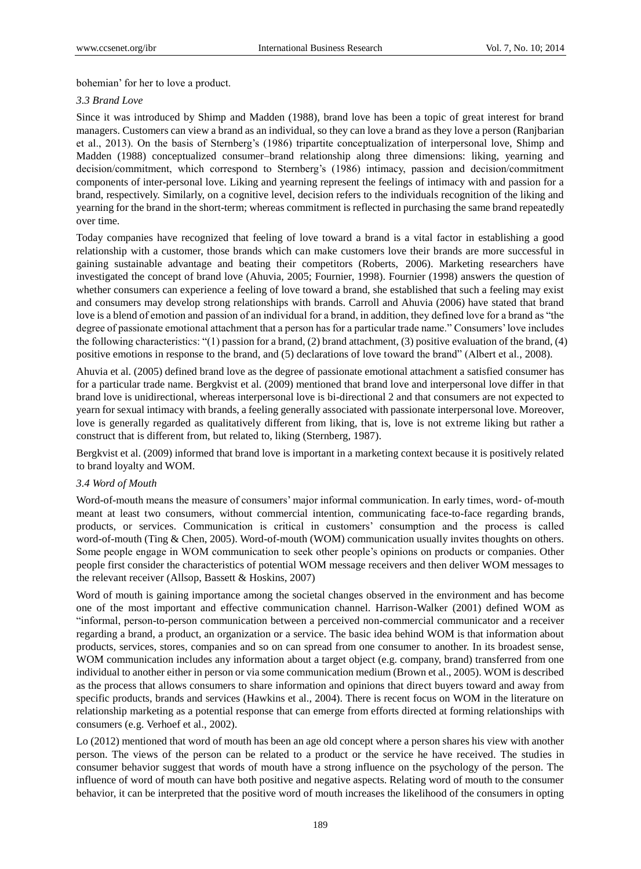bohemian" for her to love a product.

### *3.3 Brand Love*

Since it was introduced by Shimp and Madden (1988), brand love has been a topic of great interest for brand managers. Customers can view a brand as an individual, so they can love a brand as they love a person (Ranjbarian et al., 2013). On the basis of Sternberg"s (1986) tripartite conceptualization of interpersonal love, Shimp and Madden (1988) conceptualized consumer–brand relationship along three dimensions: liking, yearning and decision/commitment, which correspond to Sternberg"s (1986) intimacy, passion and decision/commitment components of inter-personal love. Liking and yearning represent the feelings of intimacy with and passion for a brand, respectively. Similarly, on a cognitive level, decision refers to the individuals recognition of the liking and yearning for the brand in the short-term; whereas commitment is reflected in purchasing the same brand repeatedly over time.

Today companies have recognized that feeling of love toward a brand is a vital factor in establishing a good relationship with a customer, those brands which can make customers love their brands are more successful in gaining sustainable advantage and beating their competitors (Roberts, 2006). Marketing researchers have investigated the concept of brand love (Ahuvia, 2005; Fournier, 1998). Fournier (1998) answers the question of whether consumers can experience a feeling of love toward a brand, she established that such a feeling may exist and consumers may develop strong relationships with brands. Carroll and Ahuvia (2006) have stated that brand love is a blend of emotion and passion of an individual for a brand, in addition, they defined love for a brand as "the degree of passionate emotional attachment that a person has for a particular trade name." Consumers' love includes the following characteristics: "(1) passion for a brand, (2) brand attachment, (3) positive evaluation of the brand, (4) positive emotions in response to the brand, and (5) declarations of love toward the brand" (Albert et al., 2008).

Ahuvia et al. (2005) defined brand love as the degree of passionate emotional attachment a satisfied consumer has for a particular trade name. Bergkvist et al. (2009) mentioned that brand love and interpersonal love differ in that brand love is unidirectional, whereas interpersonal love is bi-directional 2 and that consumers are not expected to yearn for sexual intimacy with brands, a feeling generally associated with passionate interpersonal love. Moreover, love is generally regarded as qualitatively different from liking, that is, love is not extreme liking but rather a construct that is different from, but related to, liking (Sternberg, 1987).

Bergkvist et al. (2009) informed that brand love is important in a marketing context because it is positively related to brand loyalty and WOM.

## *3.4 Word of Mouth*

Word-of-mouth means the measure of consumers" major informal communication. In early times, word- of-mouth meant at least two consumers, without commercial intention, communicating face-to-face regarding brands, products, or services. Communication is critical in customers" consumption and the process is called word-of-mouth (Ting & Chen, 2005). Word-of-mouth (WOM) communication usually invites thoughts on others. Some people engage in WOM communication to seek other people"s opinions on products or companies. Other people first consider the characteristics of potential WOM message receivers and then deliver WOM messages to the relevant receiver (Allsop, Bassett & Hoskins, 2007)

Word of mouth is gaining importance among the societal changes observed in the environment and has become one of the most important and effective communication channel. Harrison-Walker (2001) defined WOM as "informal, person-to-person communication between a perceived non-commercial communicator and a receiver regarding a brand, a product, an organization or a service. The basic idea behind WOM is that information about products, services, stores, companies and so on can spread from one consumer to another. In its broadest sense, WOM communication includes any information about a target object (e.g. company, brand) transferred from one individual to another either in person or via some communication medium (Brown et al., 2005). WOM is described as the process that allows consumers to share information and opinions that direct buyers toward and away from specific products, brands and services (Hawkins et al., 2004). There is recent focus on WOM in the literature on relationship marketing as a potential response that can emerge from efforts directed at forming relationships with consumers (e.g. Verhoef et al., 2002).

Lo (2012) mentioned that word of mouth has been an age old concept where a person shares his view with another person. The views of the person can be related to a product or the service he have received. The studies in consumer behavior suggest that words of mouth have a strong influence on the psychology of the person. The influence of word of mouth can have both positive and negative aspects. Relating word of mouth to the consumer behavior, it can be interpreted that the positive word of mouth increases the likelihood of the consumers in opting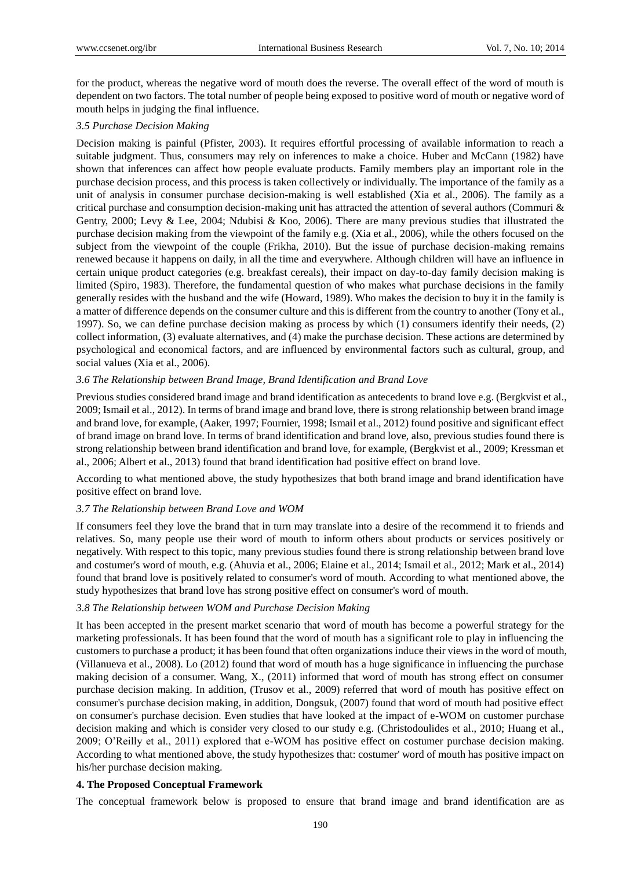for the product, whereas the negative word of mouth does the reverse. The overall effect of the word of mouth is dependent on two factors. The total number of people being exposed to positive word of mouth or negative word of mouth helps in judging the final influence.

## *3.5 Purchase Decision Making*

Decision making is painful (Pfister, 2003). It requires effortful processing of available information to reach a suitable judgment. Thus, consumers may rely on inferences to make a choice. Huber and McCann (1982) have shown that inferences can affect how people evaluate products. Family members play an important role in the purchase decision process, and this process is taken collectively or individually. The importance of the family as a unit of analysis in consumer purchase decision-making is well established (Xia et al., 2006). The family as a critical purchase and consumption decision-making unit has attracted the attention of several authors (Commuri & Gentry, 2000; Levy & Lee, 2004; Ndubisi & Koo, 2006). There are many previous studies that illustrated the purchase decision making from the viewpoint of the family e.g. (Xia et al., 2006), while the others focused on the subject from the viewpoint of the couple (Frikha, 2010). But the issue of purchase decision-making remains renewed because it happens on daily, in all the time and everywhere. Although children will have an influence in certain unique product categories (e.g. breakfast cereals), their impact on day-to-day family decision making is limited (Spiro, 1983). Therefore, the fundamental question of who makes what purchase decisions in the family generally resides with the husband and the wife (Howard, 1989). Who makes the decision to buy it in the family is a matter of difference depends on the consumer culture and this is different from the country to another (Tony et al., 1997). So, we can define purchase decision making as [process](http://www.businessdictionary.com/definition/process.html) by which (1) [consumers](http://www.businessdictionary.com/definition/consumer.html) identify their [needs,](http://www.businessdictionary.com/definition/need.html) (2) collec[t information,](http://www.businessdictionary.com/definition/information.html) (3) evaluate alternatives, and (4) make th[e purchase](http://www.businessdictionary.com/definition/purchase.html) [decision.](http://www.businessdictionary.com/definition/decision.html) Thes[e actions](http://www.businessdictionary.com/definition/action.html) are determined by [psychological](http://www.businessdictionary.com/definition/psychological.html) and [economical](http://www.businessdictionary.com/definition/economical.html) [factors,](http://www.businessdictionary.com/definition/factor.html) and are influenced by [environmental factors](http://www.businessdictionary.com/definition/environmental-factors.html) such as cultural, [group,](http://www.businessdictionary.com/definition/group.html) and [social values](http://www.businessdictionary.com/definition/social-value.html) (Xia et al., 2006).

## *3.6 The Relationship between Brand Image, Brand Identification and Brand Love*

Previous studies considered brand image and brand identification as antecedents to brand love e.g. (Bergkvist et al., 2009; Ismail et al., 2012). In terms of brand image and brand love, there is strong relationship between brand image and brand love, for example, (Aaker, 1997; Fournier, 1998; Ismail et al., 2012) found positive and significant effect of brand image on brand love. In terms of brand identification and brand love, also, previous studies found there is strong relationship between brand identification and brand love, for example, (Bergkvist et al., 2009; Kressman et al., 2006; Albert et al., 2013) found that brand identification had positive effect on brand love.

According to what mentioned above, the study hypothesizes that both brand image and brand identification have positive effect on brand love.

#### *3.7 The Relationship between Brand Love and WOM*

If consumers feel they love the brand that in turn may translate into a desire of the recommend it to friends and relatives. So, many people use their word of mouth to inform others about products or services positively or negatively. With respect to this topic, many previous studies found there is strong relationship between brand love and costumer's word of mouth, e.g. (Ahuvia et al., 2006; Elaine et al., 2014; Ismail et al., 2012; Mark et al., 2014) found that brand love is positively related to consumer's word of mouth. According to what mentioned above, the study hypothesizes that brand love has strong positive effect on consumer's word of mouth.

## *3.8 The Relationship between WOM and Purchase Decision Making*

It has been accepted in the present market scenario that word of mouth has become a powerful strategy for the marketing professionals. It has been found that the word of mouth has a significant role to play in influencing the customers to purchase a product; it has been found that often organizations induce their views in the word of mouth, (Villanueva et al., 2008). Lo (2012) found that word of mouth has a huge significance in influencing the purchase making decision of a consumer. Wang, X., (2011) informed that word of mouth has strong effect on consumer purchase decision making. In addition, (Trusov et al., 2009) referred that word of mouth has positive effect on consumer's purchase decision making, in addition, Dongsuk, (2007) found that word of mouth had positive effect on consumer's purchase decision. Even studies that have looked at the impact of e-WOM on customer purchase decision making and which is consider very closed to our study e.g. (Christodoulides et al., 2010; Huang et al., 2009; O"Reilly et al., 2011) explored that e-WOM has positive effect on costumer purchase decision making. According to what mentioned above, the study hypothesizes that: costumer' word of mouth has positive impact on his/her purchase decision making.

#### **4. The Proposed Conceptual Framework**

The conceptual framework below is proposed to ensure that brand image and brand identification are as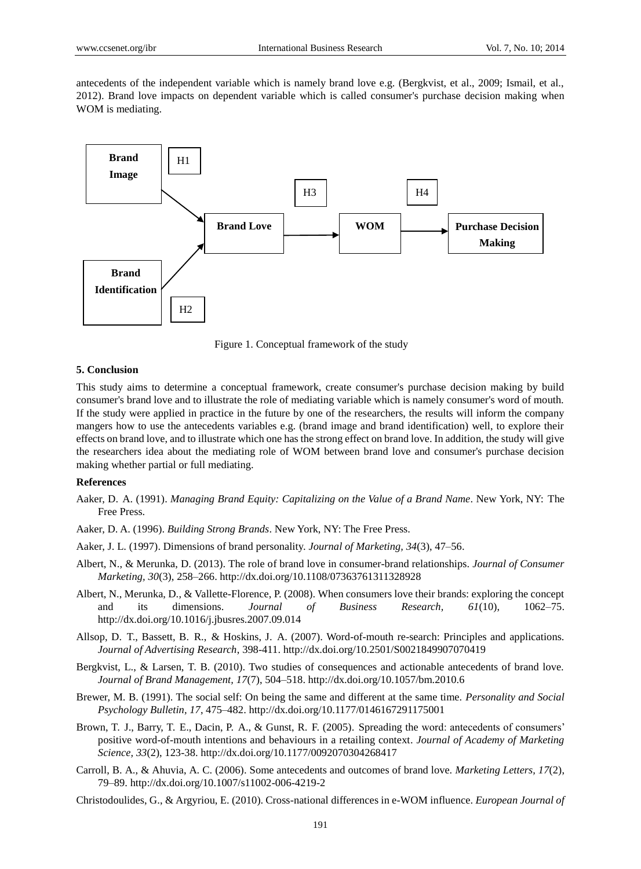antecedents of the independent variable which is namely brand love e.g. (Bergkvist, et al., 2009; Ismail, et al., 2012). Brand love impacts on dependent variable which is called consumer's purchase decision making when WOM is mediating.



Figure 1. Conceptual framework of the study

#### **5. Conclusion**

This study aims to determine a conceptual framework, create consumer's purchase decision making by build consumer's brand love and to illustrate the role of mediating variable which is namely consumer's word of mouth. If the study were applied in practice in the future by one of the researchers, the results will inform the company mangers how to use the antecedents variables e.g. (brand image and brand identification) well, to explore their effects on brand love, and to illustrate which one has the strong effect on brand love. In addition, the study will give the researchers idea about the mediating role of WOM between brand love and consumer's purchase decision making whether partial or full mediating.

#### **References**

- Aaker, D. A. (1991). *Managing Brand Equity: Capitalizing on the Value of a Brand Name*. New York, NY: The Free Press.
- Aaker, D. A. (1996). *Building Strong Brands*. New York, NY: The Free Press.
- Aaker, J. L. (1997). Dimensions of brand personality. *Journal of Marketing, 34*(3), 47–56.
- Albert, N., & Merunka, D. (2013). The role of brand love in consumer-brand relationships. *Journal of Consumer Marketing, 30*(3), 258–266. http://dx.doi.org/10.1108/07363761311328928
- Albert, N., Merunka, D., & Vallette-Florence, P. (2008). When consumers love their brands: exploring the concept and its dimensions. *Journal of Business Research, 61*(10), 1062–75. http://dx.doi.org/10.1016/j.jbusres.2007.09.014
- Allsop, D. T., Bassett, B. R., & Hoskins, J. A. (2007). Word-of-mouth re-search: Principles and applications. *Journal of Advertising Research*, 398-411. http://dx.doi.org/10.2501/S0021849907070419
- Bergkvist, L., & Larsen, T. B. (2010). Two studies of consequences and actionable antecedents of brand love. *Journal of Brand Management, 17*(7), 504–518. http://dx.doi.org/10.1057/bm.2010.6
- Brewer, M. B. (1991). The social self: On being the same and different at the same time. *Personality and Social Psychology Bulletin, 17*, 475–482. http://dx.doi.org/10.1177/0146167291175001
- Brown, T. J., Barry, T. E., Dacin, P. A., & Gunst, R. F. (2005). Spreading the word: antecedents of consumers" positive word-of-mouth intentions and behaviours in a retailing context. *Journal of Academy of Marketing Science, 33*(2), 123-38. http://dx.doi.org/10.1177/0092070304268417
- Carroll, B. A., & Ahuvia, A. C. (2006). Some antecedents and outcomes of brand love. *Marketing Letters, 17*(2), 79–89. http://dx.doi.org/10.1007/s11002-006-4219-2
- Christodoulides, G., & Argyriou, E. (2010). Cross-national differences in e-WOM influence. *European Journal of*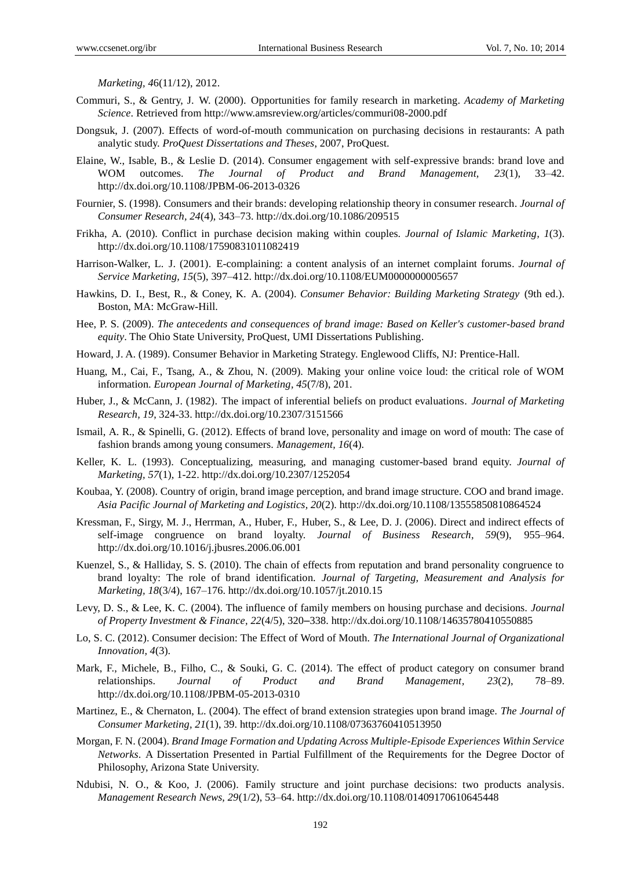*Marketing, 4*6(11/12), 2012.

- Commuri, S., & Gentry, J. W. (2000). Opportunities for family research in marketing. *Academy of Marketing Science*. Retrieved from http://www.amsreview.org/articles/commuri08-2000.pdf
- Dongsuk, J. (2007). Effects of word-of-mouth communication on purchasing decisions in restaurants: A path analytic study. *ProQuest Dissertations and Theses*, 2007, ProQuest.
- Elaine, W., Isable, B., & Leslie D. (2014). Consumer engagement with self-expressive brands: brand love and WOM outcomes. *The Journal of Product and Brand Management, 23*(1), 33–42. http://dx.doi.org/10.1108/JPBM-06-2013-0326
- Fournier, S. (1998). Consumers and their brands: developing relationship theory in consumer research. *Journal of Consumer Research, 24*(4), 343–73. http://dx.doi.org/10.1086/209515
- Frikha, A. (2010). Conflict in purchase decision making within couples. *Journal of Islamic Marketing, 1*(3). http://dx.doi.org/10.1108/17590831011082419
- Harrison-Walker, L. J. (2001). E-complaining: a content analysis of an internet complaint forums. *Journal of Service Marketing, 15*(5), 397–412. http://dx.doi.org/10.1108/EUM0000000005657
- Hawkins, D. I., Best, R., & Coney, K. A. (2004). *Consumer Behavior: Building Marketing Strategy* (9th ed.). Boston, MA: McGraw-Hill.
- Hee, P. S. (2009). *The antecedents and consequences of brand image: Based on Keller's customer-based brand equity*. The Ohio State University, ProQuest, UMI Dissertations Publishing.
- Howard, J. A. (1989). Consumer Behavior in Marketing Strategy. Englewood Cliffs, NJ: Prentice-Hall.
- Huang, M., Cai, F., Tsang, A., & Zhou, N. (2009). Making your online voice loud: the critical role of WOM information. *European Journal of Marketing, 45*(7/8), 201.
- Huber, J., & McCann, J. (1982). The impact of inferential beliefs on product evaluations. *Journal of Marketing Research, 19*, 324-33. http://dx.doi.org/10.2307/3151566
- Ismail, A. R., & Spinelli, G. (2012). Effects of brand love, personality and image on word of mouth: The case of fashion brands among young consumers. *Management, 16*(4).
- Keller, K. L. (1993). Conceptualizing, measuring, and managing customer-based brand equity. *Journal of Marketing, 57*(1), 1-22. http://dx.doi.org/10.2307/1252054
- Koubaa, Y. (2008). Country of origin, brand image perception, and brand image structure. COO and brand image. *Asia Pacific Journal of Marketing and Logistics, 20*(2). http://dx.doi.org/10.1108/13555850810864524
- Kressman, F., Sirgy, M. J., Herrman, A., Huber, F., Huber, S., & Lee, D. J. (2006). Direct and indirect effects of self-image congruence on brand loyalty. *Journal of Business Research, 59*(9), 955–964. http://dx.doi.org/10.1016/j.jbusres.2006.06.001
- Kuenzel, S., & Halliday, S. S. (2010). The chain of effects from reputation and brand personality congruence to brand loyalty: The role of brand identification. *Journal of Targeting, Measurement and Analysis for Marketing, 18*(3/4), 167–176. http://dx.doi.org/10.1057/jt.2010.15
- Levy, D. S., & Lee, K. C. (2004). The influence of family members on housing purchase and decisions. *Journal of Property Investment & Finance, 22*(4/5), 320*–*338. http://dx.doi.org/10.1108/14635780410550885
- Lo, S. C. (2012). Consumer decision: The Effect of Word of Mouth. *The International Journal of Organizational Innovation, 4*(3).
- Mark, F., Michele, B., Filho, C., & Souki, G. C. (2014). The effect of product category on consumer brand relationships. *Journal of Product and Brand Management, 23*(2), 78–89. http://dx.doi.org/10.1108/JPBM-05-2013-0310
- Martinez, E., & Chernaton, L. (2004). The effect of brand extension strategies upon brand image. *The Journal of Consumer Marketing, 21*(1), 39. http://dx.doi.org/10.1108/07363760410513950
- Morgan, F. N. (2004). *Brand Image Formation and Updating Across Multiple-Episode Experiences Within Service Networks*. A Dissertation Presented in Partial Fulfillment of the Requirements for the Degree Doctor of Philosophy, Arizona State University.
- Ndubisi, N. O., & Koo, J. (2006). Family structure and joint purchase decisions: two products analysis. *Management Research News, 29*(1/2), 53–64. http://dx.doi.org/10.1108/01409170610645448